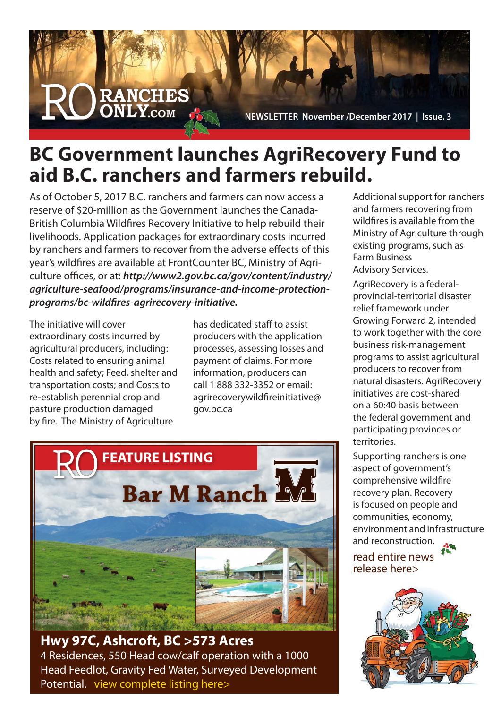

**NEWSLETTER November /December 2017 | Issue. 3** 

## **BC Government launches AgriRecovery Fund to aid B.C. ranchers and farmers rebuild.**

As of October 5, 2017 B.C. ranchers and farmers can now access a reserve of \$20-million as the Government launches the Canada-British Columbia Wildfires Recovery Initiative to help rebuild their livelihoods. Application packages for extraordinary costs incurred by ranchers and farmers to recover from the adverse effects of this year's wildfires are available at FrontCounter BC, Ministry of Agriculture offices, or at: *http://www2.gov.bc.ca/gov/content/industry/ agriculture-seafood/programs/insurance-and-income-protectionprograms/bc-wildfires-agrirecovery-initiative.*

The initiative will cover extraordinary costs incurred by agricultural producers, including: Costs related to ensuring animal health and safety; Feed, shelter and transportation costs; and Costs to re-establish perennial crop and pasture production damaged by fire. The Ministry of Agriculture

has dedicated staff to assist producers with the application processes, assessing losses and payment of claims. For more information, producers can call 1 888 332-3352 or email: agrirecoverywildfireinitiative@ gov.bc.ca



**Hwy 97C, Ashcroft, BC >573 Acres** 4 Residences, 550 Head cow/calf operation with a 1000 Head Feedlot, Gravity Fed Water, Surveyed Development Potential. [view complete listing here>](http://ranchesonly.com/listing/bar-m-ranch-2000-hwy97c-ashcroft-573-acresmulti-revenue-agri-business-550-head-cow-calf-operation-with-1000head-feedlot/)

Additional support for ranchers and farmers recovering from wildfires is available from the Ministry of Agriculture through existing programs, such as Farm Business Advisory Services.

AgriRecovery is a federalprovincial-territorial disaster relief framework under Growing Forward 2, intended to work together with the core business risk-management programs to assist agricultural producers to recover from natural disasters. AgriRecovery initiatives are cost-shared on a 60:40 basis between the federal government and participating provinces or territories.

Supporting ranchers is one aspect of government's comprehensive wildfire recovery plan. Recovery is focused on people and communities, economy, environment and infrastructure and reconstruction.

[read entire news](https://news.gov.bc.ca/releases/2017AGRI0052-001693)  release here>

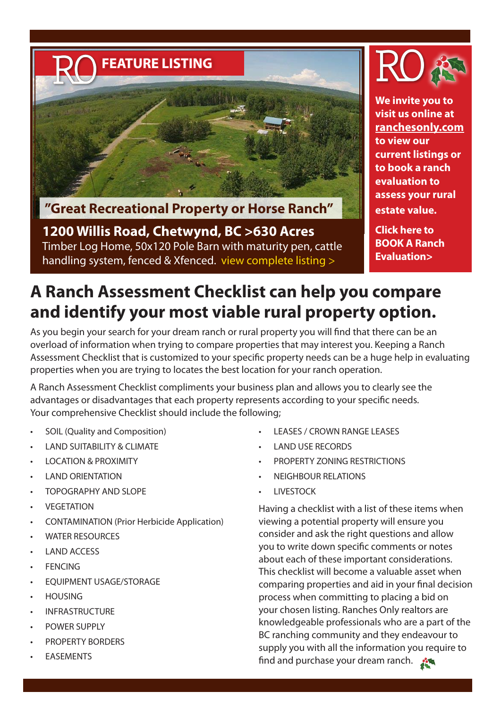

**"Great Recreational Property or Horse Ranch"** 

**1200 Willis Road, Chetwynd, BC >630 Acres** Timber Log Home, 50x120 Pole Barn with maturity pen, cattle handling system, fenced & Xfenced. [view complete listing >](http://ranchesonly.com/listing/1200-willis-road/)



**We invite you to visit us online at ranchesonly.com to view our current listings or to book a ranch evaluation to assess your rural estate value.**

**Click here to [BOOK A Ranch](http://ranchesonly.com/ranch-evaluation/)  Evaluation>**

## **A Ranch Assessment Checklist can help you compare and identify your most viable rural property option.**

As you begin your search for your dream ranch or rural property you will find that there can be an overload of information when trying to compare properties that may interest you. Keeping a Ranch Assessment Checklist that is customized to your specific property needs can be a huge help in evaluating properties when you are trying to locates the best location for your ranch operation.

A Ranch Assessment Checklist compliments your business plan and allows you to clearly see the advantages or disadvantages that each property represents according to your specific needs. Your comprehensive Checklist should include the following;

- SOIL (Quality and Composition)
- **LAND SUITABILITY & CLIMATE**
- **LOCATION & PROXIMITY**
- **LAND ORIENTATION**
- **TOPOGRAPHY AND SLOPE**
- **VEGETATION**
- CONTAMINATION (Prior Herbicide Application)
- **WATER RESOURCES**
- **LAND ACCESS**
- **FENCING**
- **EOUIPMENT USAGE/STORAGE**
- **HOUSING**
- **INFRASTRUCTURE**
- POWER SUPPLY
- PROPERTY BORDERS
- **EASEMENTS**
- **LEASES / CROWN RANGE LEASES**
- **LAND USE RECORDS**
- PROPERTY ZONING RESTRICTIONS
- **NEIGHBOUR RELATIONS**
- **LIVESTOCK**

Having a checklist with a list of these items when viewing a potential property will ensure you consider and ask the right questions and allow you to write down specific comments or notes about each of these important considerations. This checklist will become a valuable asset when comparing properties and aid in your final decision process when committing to placing a bid on your chosen listing. Ranches Only realtors are knowledgeable professionals who are a part of the BC ranching community and they endeavour to supply you with all the information you require to find and purchase your dream ranch.